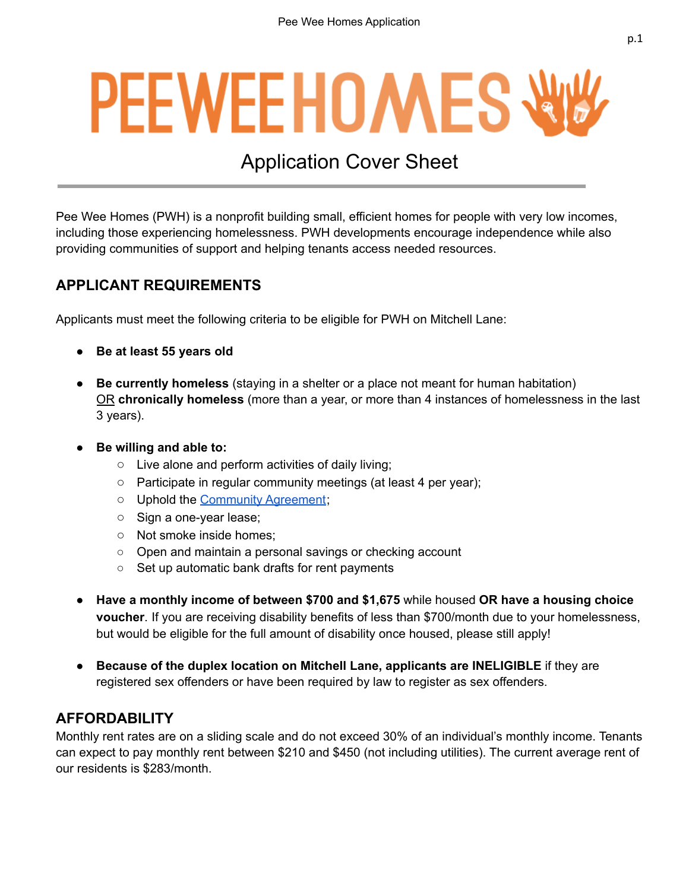# **PEEWEEHOMESW**

## Application Cover Sheet

Pee Wee Homes (PWH) is a nonprofit building small, efficient homes for people with very low incomes, including those experiencing homelessness. PWH developments encourage independence while also providing communities of support and helping tenants access needed resources.

#### **APPLICANT REQUIREMENTS**

Applicants must meet the following criteria to be eligible for PWH on Mitchell Lane:

- **Be at least 55 years old**
- **Be currently homeless** (staying in a shelter or a place not meant for human habitation) OR **chronically homeless** (more than a year, or more than 4 instances of homelessness in the last 3 years).
- **Be willing and able to:**
	- Live alone and perform activities of daily living;
	- Participate in regular community meetings (at least 4 per year);
	- Uphold the [Community](#page-9-0) Agreement;
	- Sign a one-year lease;
	- Not smoke inside homes;
	- Open and maintain a personal savings or checking account
	- Set up automatic bank drafts for rent payments
- **Have a monthly income of between \$700 and \$1,675** while housed **OR have a housing choice voucher**. If you are receiving disability benefits of less than \$700/month due to your homelessness, but would be eligible for the full amount of disability once housed, please still apply!
- **Because of the duplex location on Mitchell Lane, applicants are INELIGIBLE** if they are registered sex offenders or have been required by law to register as sex offenders.

#### **AFFORDABILITY**

Monthly rent rates are on a sliding scale and do not exceed 30% of an individual's monthly income. Tenants can expect to pay monthly rent between \$210 and \$450 (not including utilities). The current average rent of our residents is \$283/month.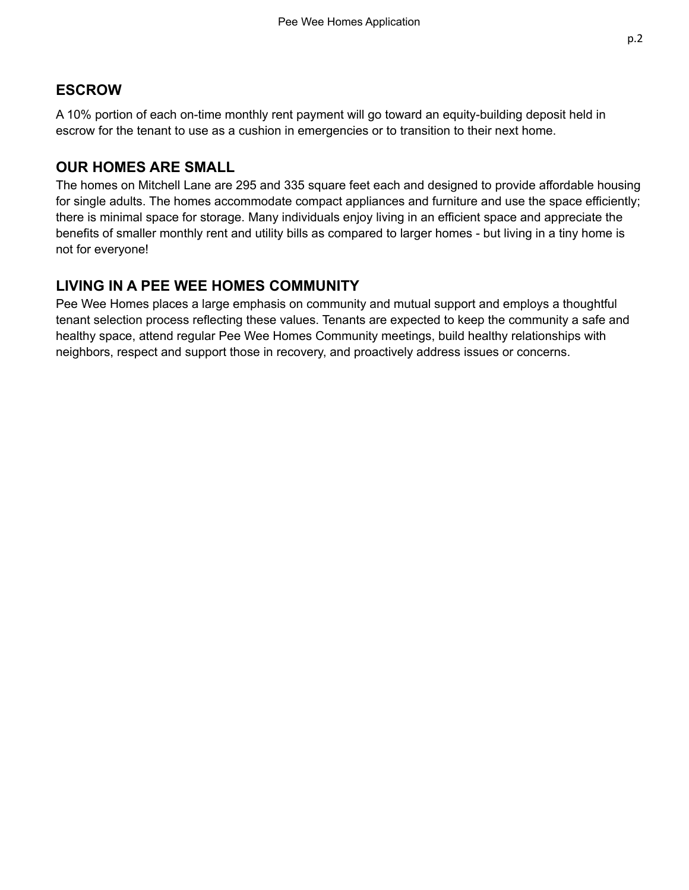#### **ESCROW**

A 10% portion of each on-time monthly rent payment will go toward an equity-building deposit held in escrow for the tenant to use as a cushion in emergencies or to transition to their next home.

#### **OUR HOMES ARE SMALL**

The homes on Mitchell Lane are 295 and 335 square feet each and designed to provide affordable housing for single adults. The homes accommodate compact appliances and furniture and use the space efficiently; there is minimal space for storage. Many individuals enjoy living in an efficient space and appreciate the benefits of smaller monthly rent and utility bills as compared to larger homes - but living in a tiny home is not for everyone!

#### **LIVING IN A PEE WEE HOMES COMMUNITY**

Pee Wee Homes places a large emphasis on community and mutual support and employs a thoughtful tenant selection process reflecting these values. Tenants are expected to keep the community a safe and healthy space, attend regular Pee Wee Homes Community meetings, build healthy relationships with neighbors, respect and support those in recovery, and proactively address issues or concerns.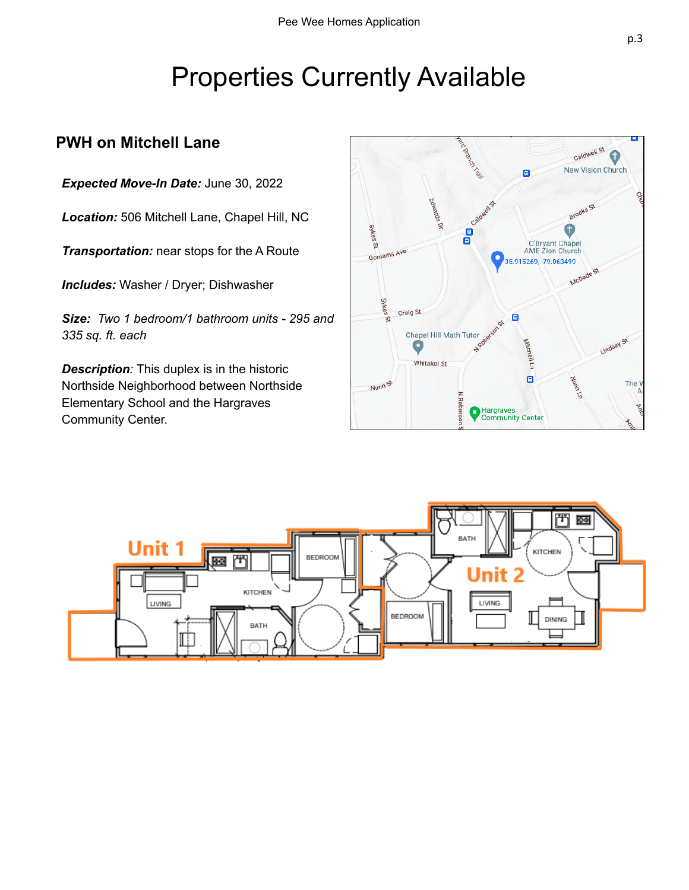# Properties Currently Available

#### **PWH on Mitchell Lane**

*Expected Move-In Date:* June 30, 2022

*Location:* 506 Mitchell Lane, Chapel Hill, NC

*Transportation:* near stops for the A Route

*Includes:* Washer / Dryer; Dishwasher

*Size: Two 1 bedroom/1 bathroom units - 295 and 335 sq. ft. each*

*Description:* This duplex is in the historic Northside Neighborhood between Northside Elementary School and the Hargraves Community Center.



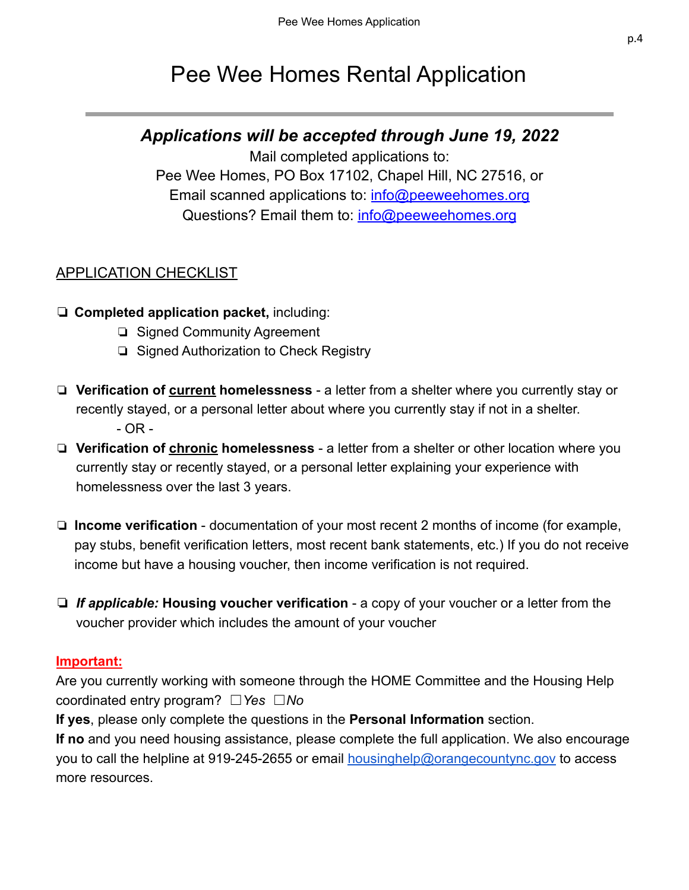## Pee Wee Homes Rental Application

#### *Applications will be accepted through June 19, 2022*

Mail completed applications to: Pee Wee Homes, PO Box 17102, Chapel Hill, NC 27516, or Email scanned applications to: [info@peeweehomes.org](mailto:info@peeweehomes.org) Questions? Email them to: [info@peeweehomes.org](mailto:info@peeweehomes.org)

#### APPLICATION CHECKLIST

- ❏ **Completed application packet,** including:
	- ❏ Signed Community Agreement
	- ❏ Signed Authorization to Check Registry
- ❏ **Verification of current homelessness** a letter from a shelter where you currently stay or recently stayed, or a personal letter about where you currently stay if not in a shelter. - OR -
- ❏ **Verification of chronic homelessness** a letter from a shelter or other location where you currently stay or recently stayed, or a personal letter explaining your experience with homelessness over the last 3 years.
- ❏ **Income verification** documentation of your most recent 2 months of income (for example, pay stubs, benefit verification letters, most recent bank statements, etc.) If you do not receive income but have a housing voucher, then income verification is not required.
- ❏ *If applicable:* **Housing voucher verification** a copy of your voucher or a letter from the voucher provider which includes the amount of your voucher

#### **Important:**

Are you currently working with someone through the HOME Committee and the Housing Help coordinated entry program? ☐*Yes* ☐*No*

**If yes**, please only complete the questions in the **Personal Information** section.

**If no** and you need housing assistance, please complete the full application. We also encourage you to call the helpline at 919-245-2655 or email [housinghelp@orangecountync.gov](mailto:housinghelp@orangecountync.gov) to access more resources.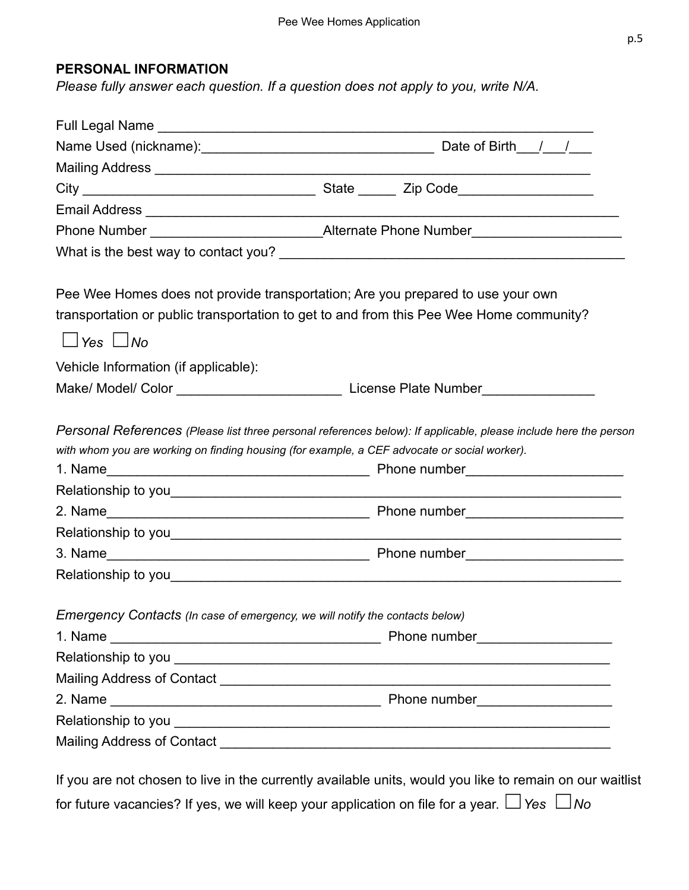#### **PERSONAL INFORMATION**

*Please fully answer each question. If a question does not apply to you, write N/A.*

|                                                                              | Pee Wee Homes does not provide transportation; Are you prepared to use your own<br>transportation or public transportation to get to and from this Pee Wee Home community?                                                        |  |  |
|------------------------------------------------------------------------------|-----------------------------------------------------------------------------------------------------------------------------------------------------------------------------------------------------------------------------------|--|--|
| $\Box$ Yes $\Box$ No                                                         |                                                                                                                                                                                                                                   |  |  |
| Vehicle Information (if applicable):                                         |                                                                                                                                                                                                                                   |  |  |
|                                                                              |                                                                                                                                                                                                                                   |  |  |
|                                                                              | Personal References (Please list three personal references below): If applicable, please include here the person<br>with whom you are working on finding housing (for example, a CEF advocate or social worker).                  |  |  |
|                                                                              |                                                                                                                                                                                                                                   |  |  |
|                                                                              |                                                                                                                                                                                                                                   |  |  |
|                                                                              |                                                                                                                                                                                                                                   |  |  |
|                                                                              |                                                                                                                                                                                                                                   |  |  |
| Emergency Contacts (In case of emergency, we will notify the contacts below) |                                                                                                                                                                                                                                   |  |  |
|                                                                              |                                                                                                                                                                                                                                   |  |  |
|                                                                              |                                                                                                                                                                                                                                   |  |  |
|                                                                              |                                                                                                                                                                                                                                   |  |  |
|                                                                              |                                                                                                                                                                                                                                   |  |  |
|                                                                              |                                                                                                                                                                                                                                   |  |  |
|                                                                              |                                                                                                                                                                                                                                   |  |  |
|                                                                              | $\mathbf{r}$ , and the contract of the contract of the contract of the contract of the contract of the contract of the contract of the contract of the contract of the contract of the contract of the contract of the contract o |  |  |

If you are not chosen to live in the currently available units, would you like to remain on our waitlist for future vacancies? If yes, we will keep your application on file for a year. ☐*Yes* ☐*No*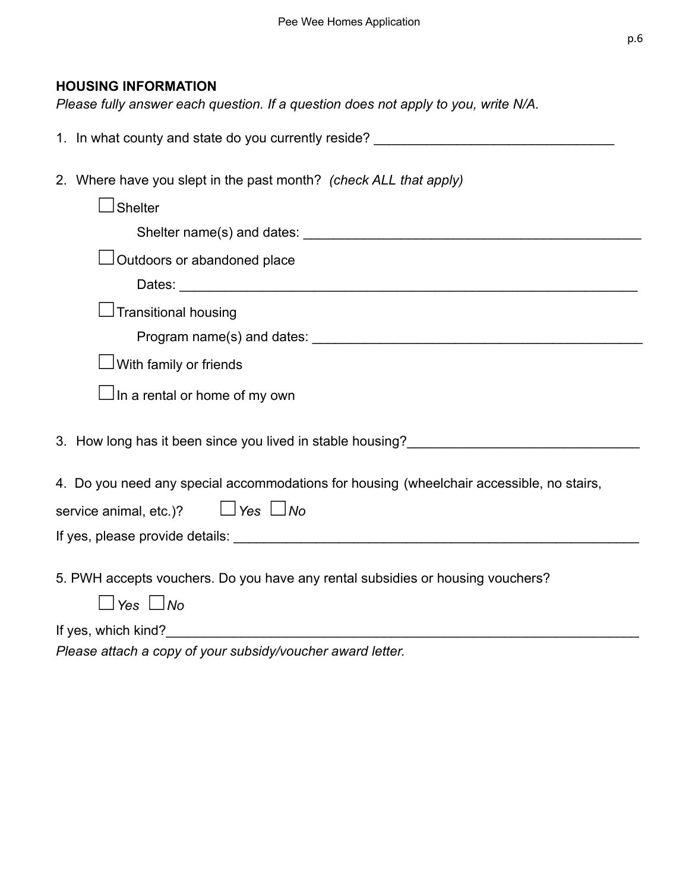#### **HOUSING INFORMATION**

*Please fully answer each question. If a question does not apply to you, write N/A.*

| 1. In what county and state do you currently reside?                                                                                                                                 |  |  |  |  |
|--------------------------------------------------------------------------------------------------------------------------------------------------------------------------------------|--|--|--|--|
| 2. Where have you slept in the past month? (check ALL that apply)                                                                                                                    |  |  |  |  |
|                                                                                                                                                                                      |  |  |  |  |
| $\sf J$ Shelter                                                                                                                                                                      |  |  |  |  |
|                                                                                                                                                                                      |  |  |  |  |
| Outdoors or abandoned place                                                                                                                                                          |  |  |  |  |
|                                                                                                                                                                                      |  |  |  |  |
| Transitional housing                                                                                                                                                                 |  |  |  |  |
|                                                                                                                                                                                      |  |  |  |  |
| $\Box$ With family or friends                                                                                                                                                        |  |  |  |  |
| $\Box$ In a rental or home of my own                                                                                                                                                 |  |  |  |  |
| 3. How long has it been since you lived in stable housing?<br><u>Same and the second of the second</u> state in the second of the second of the second of the second of the second o |  |  |  |  |
| 4. Do you need any special accommodations for housing (wheelchair accessible, no stairs,                                                                                             |  |  |  |  |
| $\Box$ Yes $\Box$ No<br>service animal, etc.)?                                                                                                                                       |  |  |  |  |
|                                                                                                                                                                                      |  |  |  |  |
|                                                                                                                                                                                      |  |  |  |  |
| 5. PWH accepts vouchers. Do you have any rental subsidies or housing vouchers?                                                                                                       |  |  |  |  |
| $\sqcup$ Yes $\sqcup$ No                                                                                                                                                             |  |  |  |  |
|                                                                                                                                                                                      |  |  |  |  |

*Please attach a copy of your subsidy/voucher award letter.*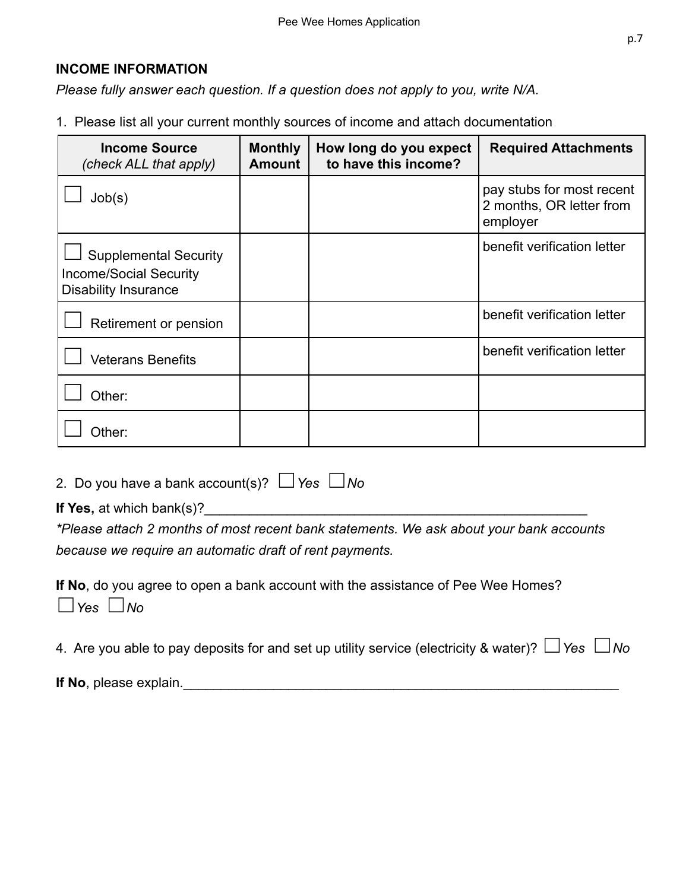#### **INCOME INFORMATION**

*Please fully answer each question. If a question does not apply to you, write N/A.*

1. Please list all your current monthly sources of income and attach documentation

| <b>Income Source</b><br>(check ALL that apply)                                               | <b>Monthly</b><br><b>Amount</b> | How long do you expect<br>to have this income? | <b>Required Attachments</b>                                       |
|----------------------------------------------------------------------------------------------|---------------------------------|------------------------------------------------|-------------------------------------------------------------------|
| Job(s)                                                                                       |                                 |                                                | pay stubs for most recent<br>2 months, OR letter from<br>employer |
| <b>Supplemental Security</b><br><b>Income/Social Security</b><br><b>Disability Insurance</b> |                                 |                                                | benefit verification letter                                       |
| Retirement or pension                                                                        |                                 |                                                | benefit verification letter                                       |
| <b>Veterans Benefits</b>                                                                     |                                 |                                                | benefit verification letter                                       |
| Other:                                                                                       |                                 |                                                |                                                                   |
| Other:                                                                                       |                                 |                                                |                                                                   |

2. Do you have a bank account(s)? ☐*Yes* ☐*No*

**If Yes,** at which bank(s)?

*\*Please attach 2 months of most recent bank statements. We ask about your bank accounts because we require an automatic draft of rent payments.*

**If No**, do you agree to open a bank account with the assistance of Pee Wee Homes? ☐*Yes* ☐*No*

4. Are you able to pay deposits for and set up utility service (electricity & water)? ☐*Yes* ☐*No*

**If No**, please explain.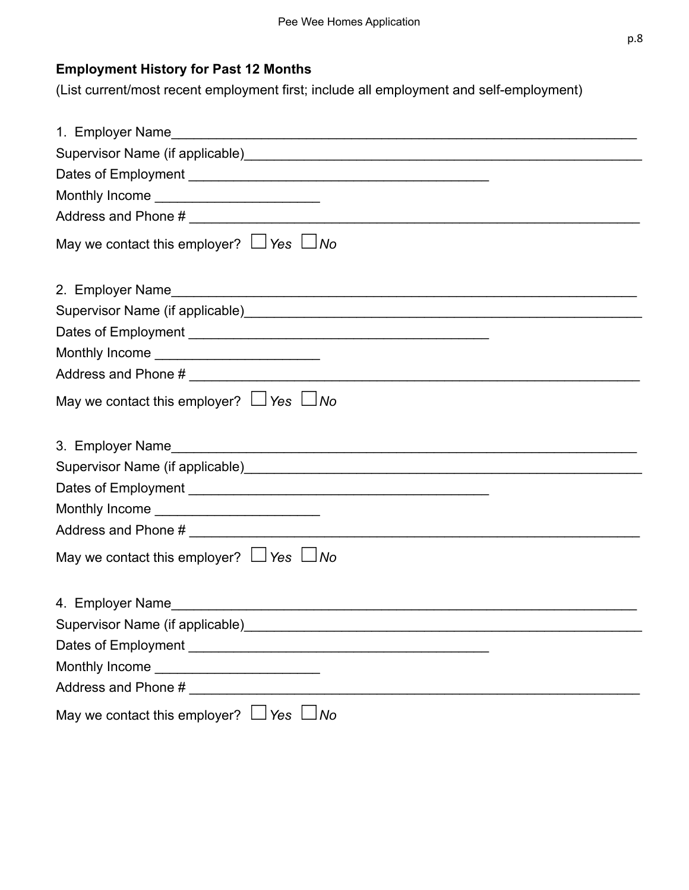#### **Employment History for Past 12 Months**

(List current/most recent employment first; include all employment and self-employment)

| Supervisor Name (if applicable) Manual According to the Contract of the Supervisor Name (if applicable)        |
|----------------------------------------------------------------------------------------------------------------|
|                                                                                                                |
| Monthly Income ___________________________                                                                     |
|                                                                                                                |
| May we contact this employer? $\Box$ Yes $\Box$ No                                                             |
|                                                                                                                |
| Supervisor Name (if applicable) Manual Contract Contract Contract Contract Contract Contract Contract Contract |
|                                                                                                                |
| Monthly Income ________________________________                                                                |
|                                                                                                                |
| May we contact this employer? $\Box$ Yes $\Box$ No                                                             |
|                                                                                                                |
|                                                                                                                |
|                                                                                                                |
|                                                                                                                |
|                                                                                                                |
| Monthly Income ___________________________                                                                     |
|                                                                                                                |
| May we contact this employer? $\Box$ Yes $\Box$ No                                                             |
|                                                                                                                |
|                                                                                                                |
| Supervisor Name (if applicable)__________                                                                      |
|                                                                                                                |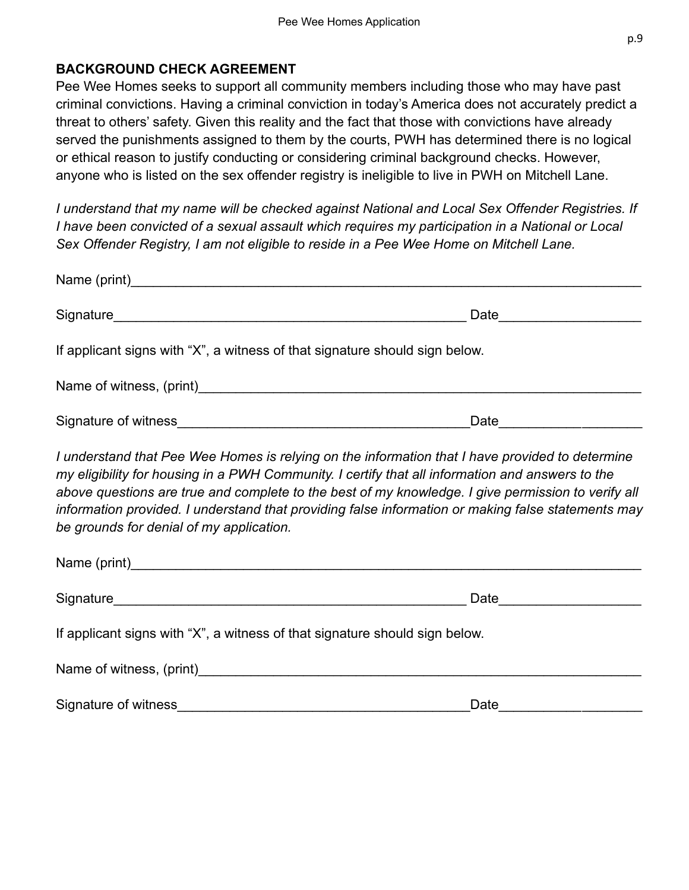#### **BACKGROUND CHECK AGREEMENT**

Pee Wee Homes seeks to support all community members including those who may have past criminal convictions. Having a criminal conviction in today's America does not accurately predict a threat to others' safety. Given this reality and the fact that those with convictions have already served the punishments assigned to them by the courts, PWH has determined there is no logical or ethical reason to justify conducting or considering criminal background checks. However, anyone who is listed on the sex offender registry is ineligible to live in PWH on Mitchell Lane.

*I understand that my name will be checked against National and Local Sex Offender Registries. If I have been convicted of a sexual assault which requires my participation in a National or Local Sex Offender Registry, I am not eligible to reside in a Pee Wee Home on Mitchell Lane.*

| If applicant signs with "X", a witness of that signature should sign below.                                                                                                                                                                                                                                                                                                                                                                                 |      |
|-------------------------------------------------------------------------------------------------------------------------------------------------------------------------------------------------------------------------------------------------------------------------------------------------------------------------------------------------------------------------------------------------------------------------------------------------------------|------|
|                                                                                                                                                                                                                                                                                                                                                                                                                                                             |      |
|                                                                                                                                                                                                                                                                                                                                                                                                                                                             |      |
| I understand that Pee Wee Homes is relying on the information that I have provided to determine<br>my eligibility for housing in a PWH Community. I certify that all information and answers to the<br>above questions are true and complete to the best of my knowledge. I give permission to verify all<br>information provided. I understand that providing false information or making false statements may<br>be grounds for denial of my application. |      |
|                                                                                                                                                                                                                                                                                                                                                                                                                                                             |      |
|                                                                                                                                                                                                                                                                                                                                                                                                                                                             |      |
| If applicant signs with "X", a witness of that signature should sign below.                                                                                                                                                                                                                                                                                                                                                                                 |      |
| Name of witness, (print) Name of witness of print)                                                                                                                                                                                                                                                                                                                                                                                                          |      |
|                                                                                                                                                                                                                                                                                                                                                                                                                                                             | Date |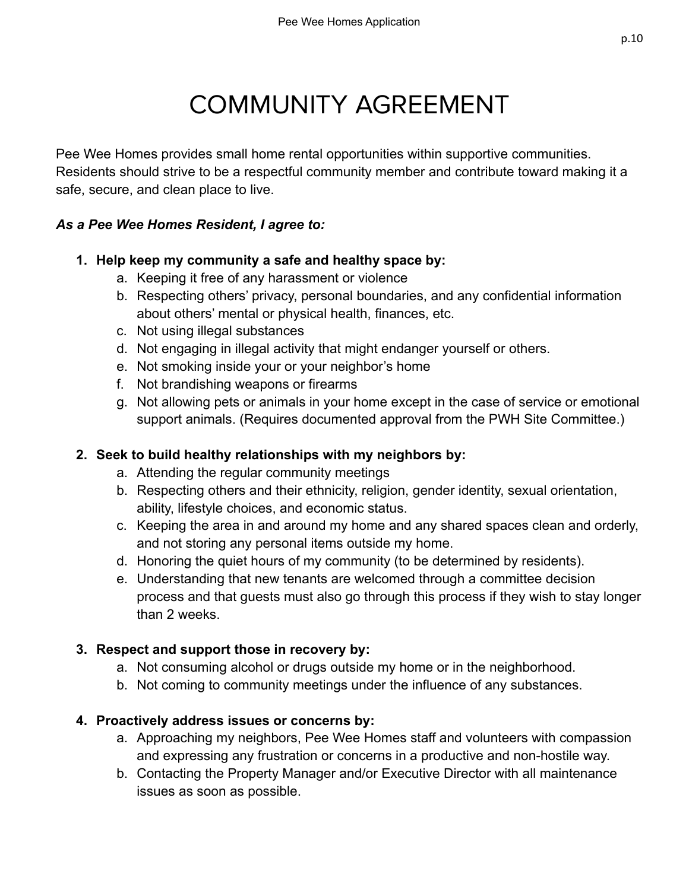# COMMUNITY AGREEMENT

<span id="page-9-0"></span>Pee Wee Homes provides small home rental opportunities within supportive communities. Residents should strive to be a respectful community member and contribute toward making it a safe, secure, and clean place to live.

#### *As a Pee Wee Homes Resident, I agree to:*

#### **1. Help keep my community a safe and healthy space by:**

- a. Keeping it free of any harassment or violence
- b. Respecting others' privacy, personal boundaries, and any confidential information about others' mental or physical health, finances, etc.
- c. Not using illegal substances
- d. Not engaging in illegal activity that might endanger yourself or others.
- e. Not smoking inside your or your neighbor's home
- f. Not brandishing weapons or firearms
- g. Not allowing pets or animals in your home except in the case of service or emotional support animals. (Requires documented approval from the PWH Site Committee.)

#### **2. Seek to build healthy relationships with my neighbors by:**

- a. Attending the regular community meetings
- b. Respecting others and their ethnicity, religion, gender identity, sexual orientation, ability, lifestyle choices, and economic status.
- c. Keeping the area in and around my home and any shared spaces clean and orderly, and not storing any personal items outside my home.
- d. Honoring the quiet hours of my community (to be determined by residents).
- e. Understanding that new tenants are welcomed through a committee decision process and that guests must also go through this process if they wish to stay longer than 2 weeks.

#### **3. Respect and support those in recovery by:**

- a. Not consuming alcohol or drugs outside my home or in the neighborhood.
- b. Not coming to community meetings under the influence of any substances.

#### **4. Proactively address issues or concerns by:**

- a. Approaching my neighbors, Pee Wee Homes staff and volunteers with compassion and expressing any frustration or concerns in a productive and non-hostile way.
- b. Contacting the Property Manager and/or Executive Director with all maintenance issues as soon as possible.